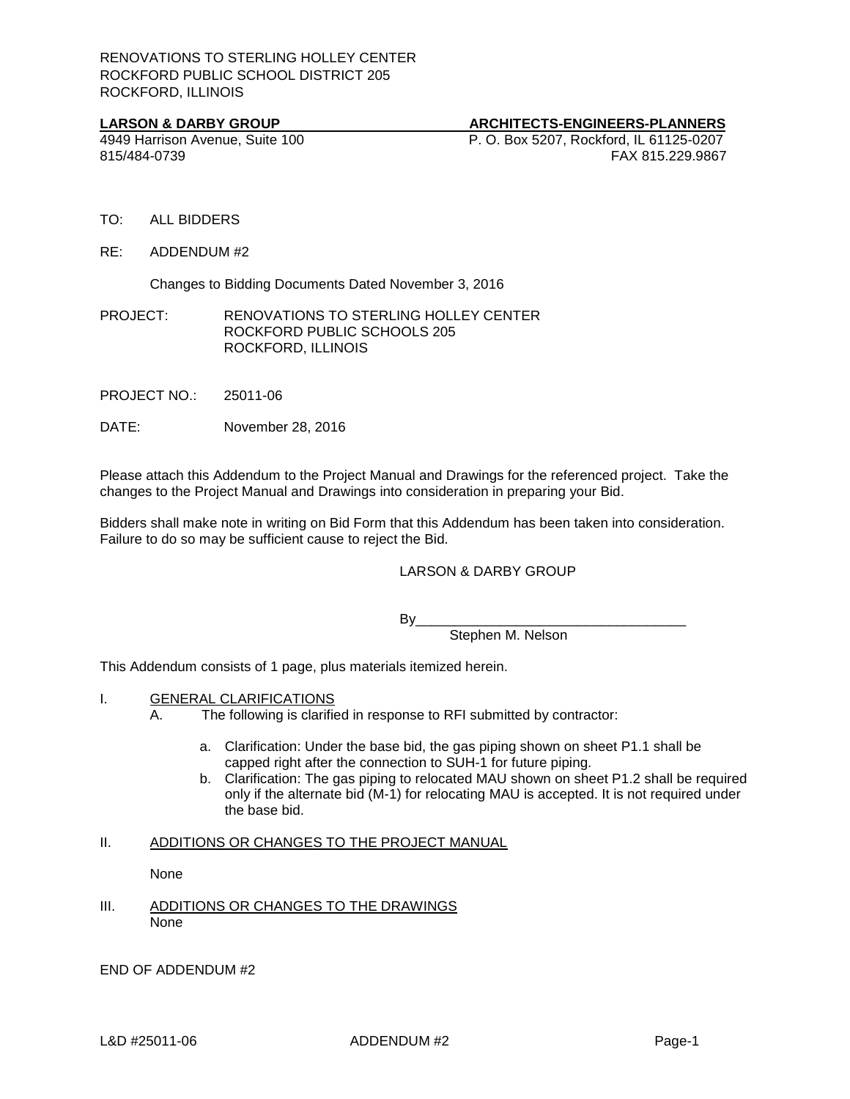**LARSON & DARBY GROUP**<br> **ARCHITECTS-ENGINEERS-PLANNERS**<br> **ARCHITECTS-ENGINEERS-PLANNERS**<br> **P. O. Box 5207. Rockford. IL 61125-0207** 4949 Harrison Avenue, Suite 100 P. O. Box 5207, Rockford, IL 61125-0207 815/484-0739 FAX 815.229.9867

- TO: ALL BIDDERS
- RE: ADDENDUM #2

Changes to Bidding Documents Dated November 3, 2016

PROJECT: RENOVATIONS TO STERLING HOLLEY CENTER ROCKFORD PUBLIC SCHOOLS 205 ROCKFORD, ILLINOIS

PROJECT NO.: 25011-06

DATE: November 28, 2016

Please attach this Addendum to the Project Manual and Drawings for the referenced project. Take the changes to the Project Manual and Drawings into consideration in preparing your Bid.

Bidders shall make note in writing on Bid Form that this Addendum has been taken into consideration. Failure to do so may be sufficient cause to reject the Bid.

## LARSON & DARBY GROUP

By\_\_\_\_\_\_\_\_\_\_\_\_\_\_\_\_\_\_\_\_\_\_\_\_\_\_\_\_\_\_\_\_\_\_\_

Stephen M. Nelson

This Addendum consists of 1 page, plus materials itemized herein.

- I. GENERAL CLARIFICATIONS
	- A. The following is clarified in response to RFI submitted by contractor:
		- a. Clarification: Under the base bid, the gas piping shown on sheet P1.1 shall be capped right after the connection to SUH-1 for future piping.
		- b. Clarification: The gas piping to relocated MAU shown on sheet P1.2 shall be required only if the alternate bid (M-1) for relocating MAU is accepted. It is not required under the base bid.

## II. ADDITIONS OR CHANGES TO THE PROJECT MANUAL

None

III. ADDITIONS OR CHANGES TO THE DRAWINGS None

END OF ADDENDUM #2